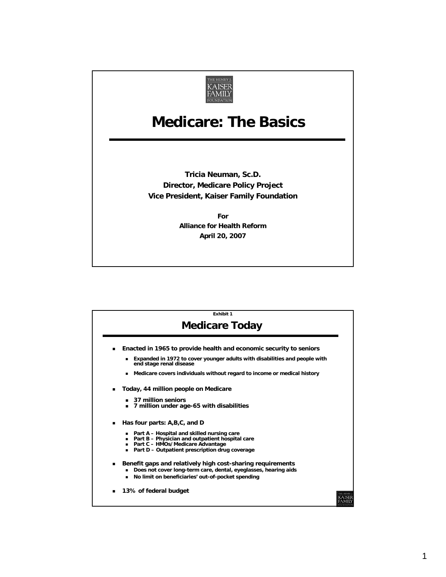

## **Medicare: The Basics Medicare: The Basics**

**Tricia Neuman, Sc.D. Director, Medicare Policy Project Vice President, Kaiser Family Foundation**

> **For Alliance for Health Reform April 20, 2007**

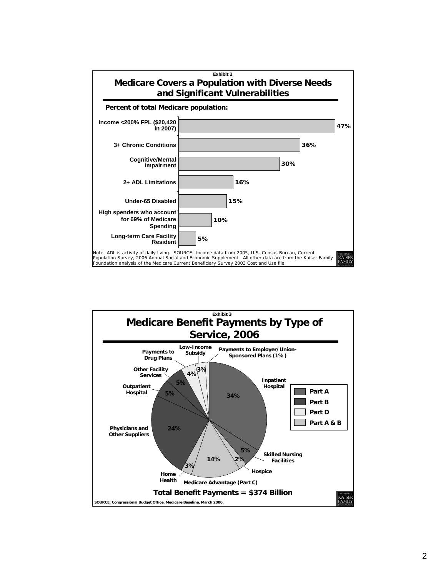

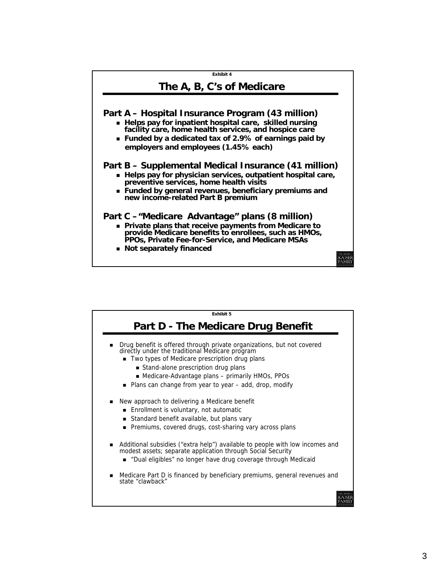

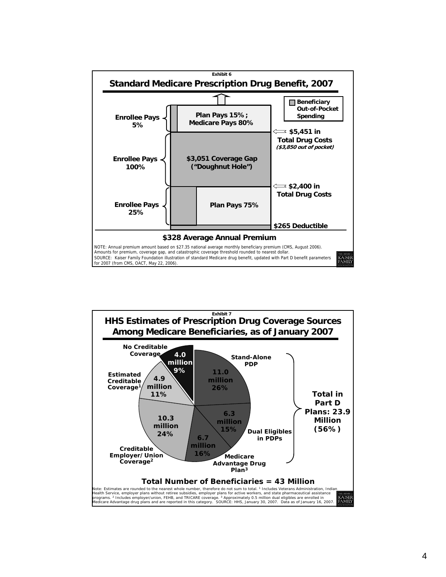

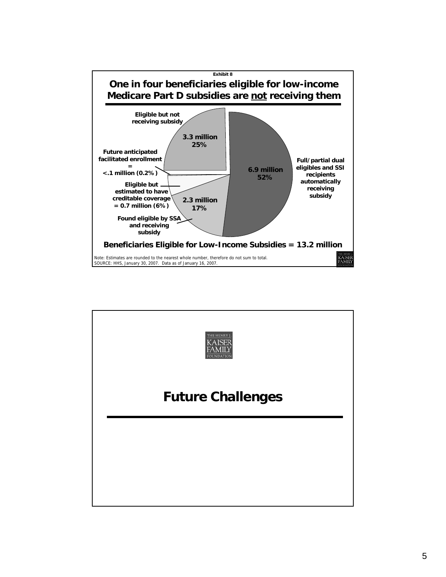

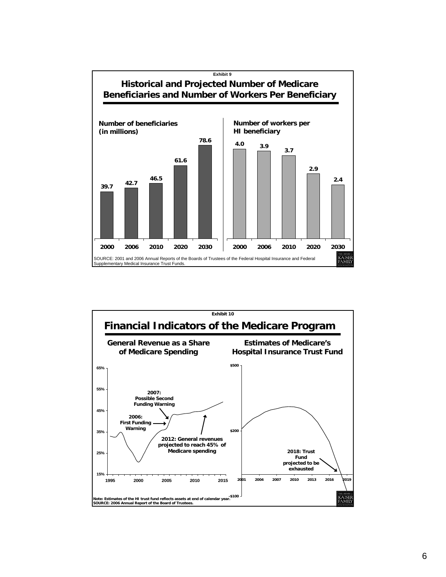